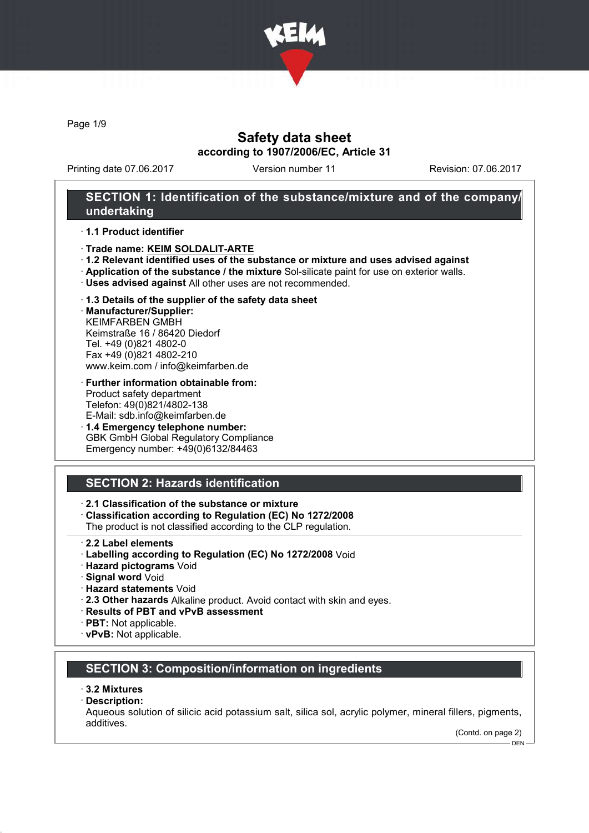

Page 1/9

## Safety data sheet according to 1907/2006/EC, Article 31

Printing date 07.06.2017 Version number 11 Revision: 07.06.2017

## SECTION 1: Identification of the substance/mixture and of the company/ undertaking

#### · 1.1 Product identifier

- · Trade name: KEIM SOLDALIT-ARTE
- · 1.2 Relevant identified uses of the substance or mixture and uses advised against
- · Application of the substance / the mixture Sol-silicate paint for use on exterior walls.
- · Uses advised against All other uses are not recommended.

### · 1.3 Details of the supplier of the safety data sheet

· Manufacturer/Supplier: KEIMFARBEN GMBH Keimstraße 16 / 86420 Diedorf Tel. +49 (0)821 4802-0 Fax +49 (0)821 4802-210 www.keim.com / info@keimfarben.de

#### · Further information obtainable from: Product safety department Telefon: 49(0)821/4802-138 E-Mail: sdb.info@keimfarben.de

· 1.4 Emergency telephone number: GBK GmbH Global Regulatory Compliance Emergency number: +49(0)6132/84463

## SECTION 2: Hazards identification

### · 2.1 Classification of the substance or mixture

· Classification according to Regulation (EC) No 1272/2008

The product is not classified according to the CLP regulation.

- · 2.2 Label elements
- · Labelling according to Regulation (EC) No 1272/2008 Void
- · Hazard pictograms Void
- · Signal word Void
- · Hazard statements Void
- · 2.3 Other hazards Alkaline product. Avoid contact with skin and eyes.
- · Results of PBT and vPvB assessment
- · PBT: Not applicable.
- · vPvB: Not applicable.

## SECTION 3: Composition/information on ingredients

#### · 3.2 Mixtures

· Description:

Aqueous solution of silicic acid potassium salt, silica sol, acrylic polymer, mineral fillers, pigments, additives.

(Contd. on page 2) DEN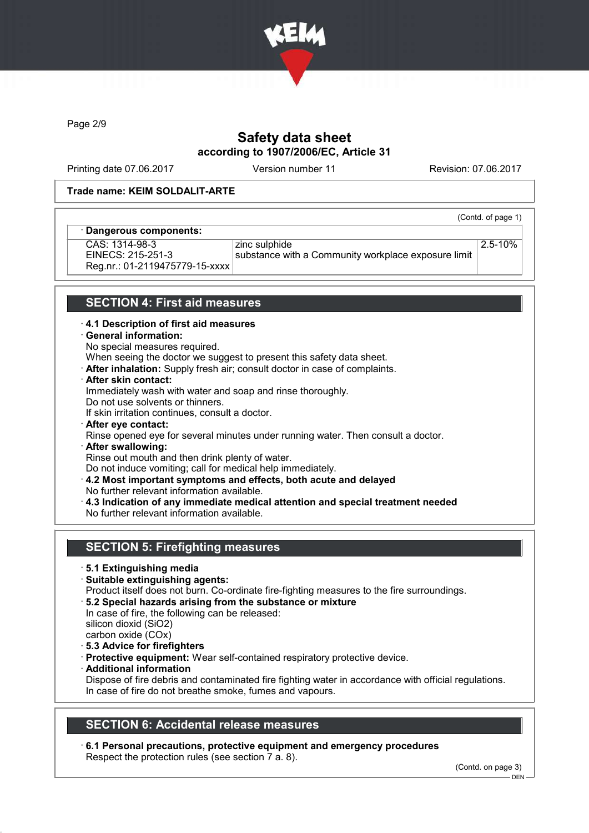

Page 2/9

# Safety data sheet according to 1907/2006/EC, Article 31

Printing date 07.06.2017 Version number 11 Revision: 07.06.2017

(Contd. of page 1)

### Trade name: KEIM SOLDALIT-ARTE

### Dangerous components:

CAS: 1314-98-3 EINECS: 215-251-3 Reg.nr.: 01-2119475779-15-xxxx zinc sulphide substance with a Community workplace exposure limit 2.5-10%

## SECTION 4: First aid measures

#### · 4.1 Description of first aid measures

#### · General information:

No special measures required.

When seeing the doctor we suggest to present this safety data sheet.

- · After inhalation: Supply fresh air; consult doctor in case of complaints.
- · After skin contact:

Immediately wash with water and soap and rinse thoroughly.

Do not use solvents or thinners.

If skin irritation continues, consult a doctor.

- · After eye contact:
- Rinse opened eye for several minutes under running water. Then consult a doctor.
- · After swallowing:

Rinse out mouth and then drink plenty of water. Do not induce vomiting; call for medical help immediately.

- · 4.2 Most important symptoms and effects, both acute and delayed
- No further relevant information available.
- · 4.3 Indication of any immediate medical attention and special treatment needed No further relevant information available.

## SECTION 5: Firefighting measures

- · 5.1 Extinguishing media
- · Suitable extinguishing agents:
- Product itself does not burn. Co-ordinate fire-fighting measures to the fire surroundings.
- · 5.2 Special hazards arising from the substance or mixture
- In case of fire, the following can be released: silicon dioxid (SiO2)
- carbon oxide (COx)
- · 5.3 Advice for firefighters
- · Protective equipment: Wear self-contained respiratory protective device.
- · Additional information

Dispose of fire debris and contaminated fire fighting water in accordance with official regulations. In case of fire do not breathe smoke, fumes and vapours.

## SECTION 6: Accidental release measures

· 6.1 Personal precautions, protective equipment and emergency procedures Respect the protection rules (see section 7 a. 8).

(Contd. on page 3)

<sup>-</sup> DEN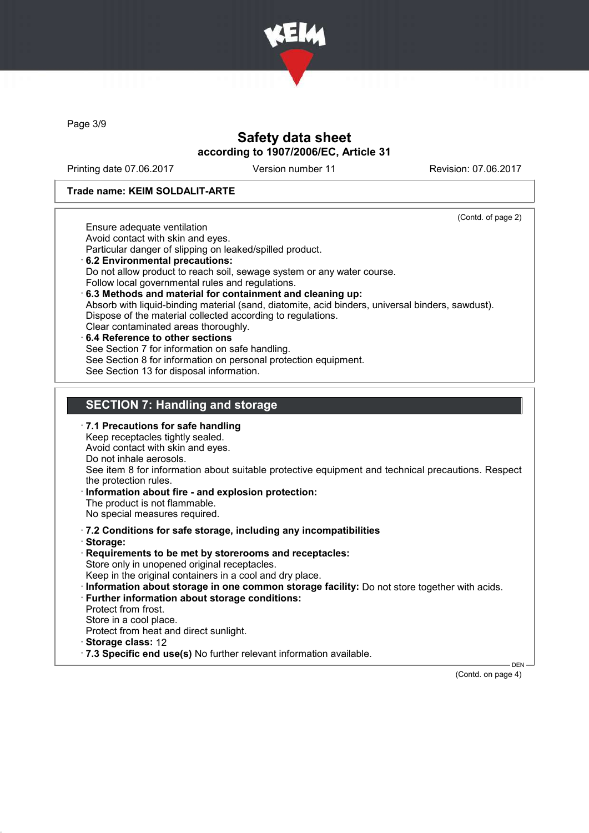

Page 3/9

## Safety data sheet according to 1907/2006/EC, Article 31

Printing date 07.06.2017 Version number 11 Revision: 07.06.2017

#### Trade name: KEIM SOLDALIT-ARTE

(Contd. of page 2)

Ensure adequate ventilation Avoid contact with skin and eyes.

Particular danger of slipping on leaked/spilled product.

- · 6.2 Environmental precautions: Do not allow product to reach soil, sewage system or any water course. Follow local governmental rules and regulations. · 6.3 Methods and material for containment and cleaning up:
- Absorb with liquid-binding material (sand, diatomite, acid binders, universal binders, sawdust). Dispose of the material collected according to regulations. Clear contaminated areas thoroughly.
- 6.4 Reference to other sections See Section 7 for information on safe handling. See Section 8 for information on personal protection equipment. See Section 13 for disposal information.

## SECTION 7: Handling and storage

- · 7.1 Precautions for safe handling Keep receptacles tightly sealed. Avoid contact with skin and eyes. Do not inhale aerosols. See item 8 for information about suitable protective equipment and technical precautions. Respect the protection rules. Information about fire - and explosion protection: The product is not flammable. No special measures required. · 7.2 Conditions for safe storage, including any incompatibilities · Storage: · Requirements to be met by storerooms and receptacles: Store only in unopened original receptacles. Keep in the original containers in a cool and dry place. · Information about storage in one common storage facility: Do not store together with acids. · Further information about storage conditions: Protect from frost. Store in a cool place. Protect from heat and direct sunlight. · Storage class: 12
- · 7.3 Specific end use(s) No further relevant information available.

(Contd. on page 4)

DEN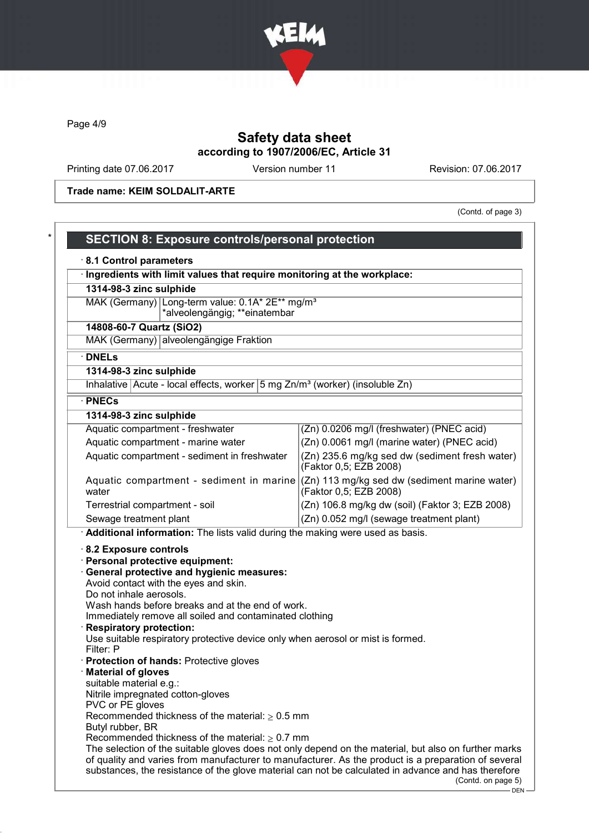

Page 4/9

# Safety data sheet according to 1907/2006/EC, Article 31

Printing date 07.06.2017 Version number 11 Revision: 07.06.2017

Trade name: KEIM SOLDALIT-ARTE

(Contd. of page 3)

| Ingredients with limit values that require monitoring at the workplace:                                                                                                                                                                                                                                                                                                                    |                                                                          |
|--------------------------------------------------------------------------------------------------------------------------------------------------------------------------------------------------------------------------------------------------------------------------------------------------------------------------------------------------------------------------------------------|--------------------------------------------------------------------------|
| 1314-98-3 zinc sulphide                                                                                                                                                                                                                                                                                                                                                                    |                                                                          |
| MAK (Germany) Long-term value: 0.1A* 2E** mg/m <sup>3</sup><br>*alveolengängig; **einatembar                                                                                                                                                                                                                                                                                               |                                                                          |
| 14808-60-7 Quartz (SiO2)                                                                                                                                                                                                                                                                                                                                                                   |                                                                          |
| MAK (Germany) alveolengängige Fraktion                                                                                                                                                                                                                                                                                                                                                     |                                                                          |
| · DNELs                                                                                                                                                                                                                                                                                                                                                                                    |                                                                          |
| 1314-98-3 zinc sulphide                                                                                                                                                                                                                                                                                                                                                                    |                                                                          |
| Inhalative Acute - local effects, worker 5 mg Zn/m <sup>3</sup> (worker) (insoluble Zn)                                                                                                                                                                                                                                                                                                    |                                                                          |
| · PNECs                                                                                                                                                                                                                                                                                                                                                                                    |                                                                          |
| 1314-98-3 zinc sulphide                                                                                                                                                                                                                                                                                                                                                                    |                                                                          |
| Aquatic compartment - freshwater                                                                                                                                                                                                                                                                                                                                                           | (Zn) 0.0206 mg/l (freshwater) (PNEC acid)                                |
| Aquatic compartment - marine water                                                                                                                                                                                                                                                                                                                                                         | (Zn) 0.0061 mg/l (marine water) (PNEC acid)                              |
| Aquatic compartment - sediment in freshwater                                                                                                                                                                                                                                                                                                                                               | (Zn) 235.6 mg/kg sed dw (sediment fresh water)<br>(Faktor 0,5; EZB 2008) |
| Aquatic compartment - sediment in marine $(Zn)$ 113 mg/kg sed dw (sediment marine water)<br>water                                                                                                                                                                                                                                                                                          | (Faktor 0,5; EZB 2008)                                                   |
| Terrestrial compartment - soil                                                                                                                                                                                                                                                                                                                                                             | (Zn) 106.8 mg/kg dw (soil) (Faktor 3; EZB 2008)                          |
| Sewage treatment plant                                                                                                                                                                                                                                                                                                                                                                     | (Zn) 0.052 mg/l (sewage treatment plant)                                 |
| Personal protective equipment:<br><b>General protective and hygienic measures:</b><br>Avoid contact with the eyes and skin.<br>Do not inhale aerosols.<br>Wash hands before breaks and at the end of work.<br>Immediately remove all soiled and contaminated clothing<br><b>Respiratory protection:</b><br>Use suitable respiratory protective device only when aerosol or mist is formed. |                                                                          |
| Filter: P<br>· Protection of hands: Protective gloves<br>· Material of gloves<br>suitable material e.g.:<br>Nitrile impregnated cotton-gloves<br>PVC or PE gloves<br>Recommended thickness of the material: $> 0.5$ mm                                                                                                                                                                     |                                                                          |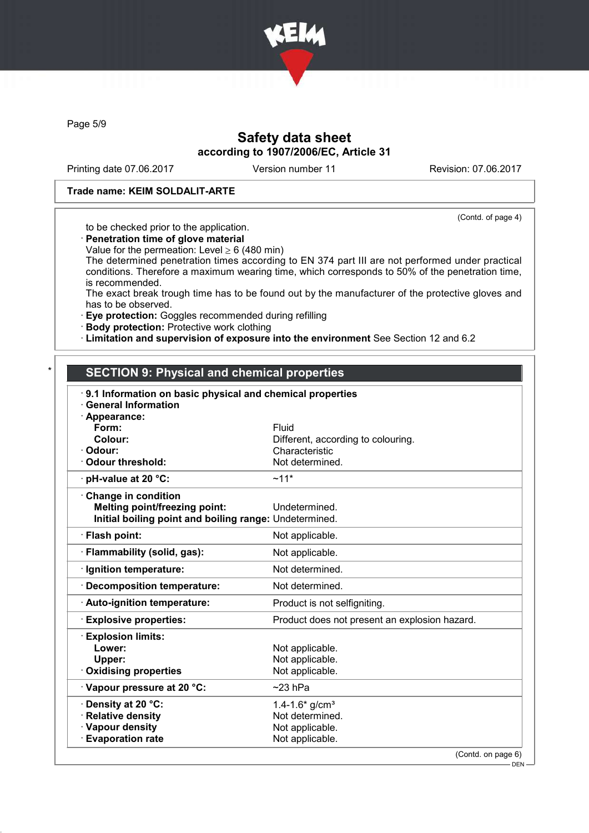

Page 5/9

## Safety data sheet according to 1907/2006/EC, Article 31

Printing date 07.06.2017 Version number 11 Revision: 07.06.2017

### Trade name: KEIM SOLDALIT-ARTE

(Contd. of page 4)

to be checked prior to the application.

· Penetration time of glove material

Value for the permeation: Level  $\geq 6$  (480 min)

The determined penetration times according to EN 374 part III are not performed under practical conditions. Therefore a maximum wearing time, which corresponds to 50% of the penetration time, is recommended.

The exact break trough time has to be found out by the manufacturer of the protective gloves and has to be observed.

· Eye protection: Goggles recommended during refilling

· Body protection: Protective work clothing

· Limitation and supervision of exposure into the environment See Section 12 and 6.2

### **SECTION 9: Physical and chemical properties**

| 9.1 Information on basic physical and chemical properties<br><b>General Information</b> |                                               |
|-----------------------------------------------------------------------------------------|-----------------------------------------------|
| · Appearance:                                                                           |                                               |
| Form:                                                                                   | Fluid                                         |
| Colour:                                                                                 | Different, according to colouring.            |
| · Odour:                                                                                | Characteristic                                |
| Odour threshold:                                                                        | Not determined.                               |
| $\cdot$ pH-value at 20 °C:                                                              | $~11*$                                        |
| Change in condition                                                                     |                                               |
| <b>Melting point/freezing point:</b>                                                    | Undetermined.                                 |
| Initial boiling point and boiling range: Undetermined.                                  |                                               |
| · Flash point:                                                                          | Not applicable.                               |
| · Flammability (solid, gas):                                                            | Not applicable.                               |
| · Ignition temperature:                                                                 | Not determined.                               |
| Decomposition temperature:                                                              | Not determined.                               |
| · Auto-ignition temperature:                                                            | Product is not selfigniting.                  |
| <b>Explosive properties:</b>                                                            | Product does not present an explosion hazard. |
| <b>Explosion limits:</b>                                                                |                                               |
| Lower:                                                                                  | Not applicable.                               |
| Upper:                                                                                  | Not applicable.                               |
| <b>Oxidising properties</b>                                                             | Not applicable.                               |
| Vapour pressure at 20 °C:                                                               | $~23$ hPa                                     |
| <b>⋅Density at 20 °C:</b>                                                               | $1.4 - 1.6*$ g/cm <sup>3</sup>                |
| · Relative density                                                                      | Not determined.                               |
| · Vapour density                                                                        | Not applicable.                               |
| <b>Evaporation rate</b>                                                                 | Not applicable.                               |
|                                                                                         | (Contd. on page 6)                            |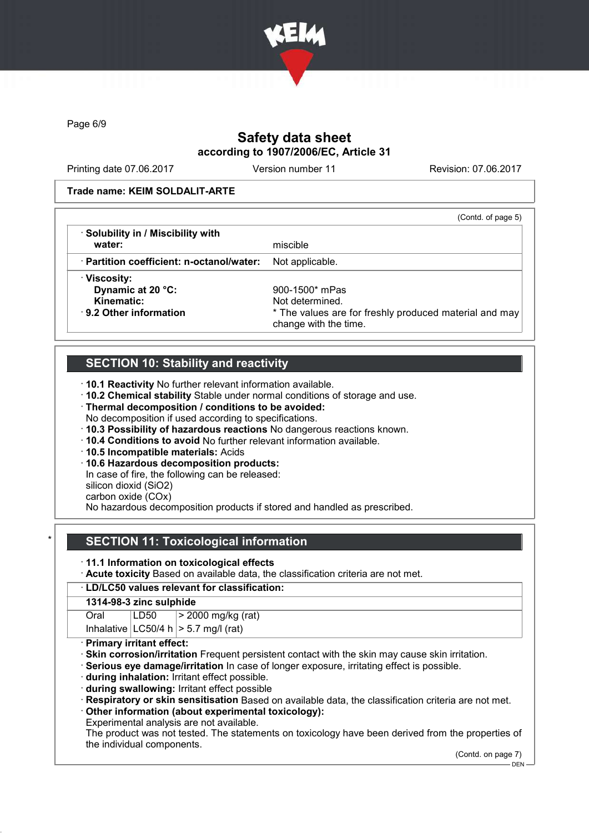

Page 6/9

# Safety data sheet according to 1907/2006/EC, Article 31

Printing date 07.06.2017 Version number 11 Revision: 07.06.2017

#### Trade name: KEIM SOLDALIT-ARTE

|                                                 | (Contd. of page 5)                                                              |
|-------------------------------------------------|---------------------------------------------------------------------------------|
| · Solubility in / Miscibility with              |                                                                                 |
| water:                                          | miscible                                                                        |
| $\cdot$ Partition coefficient: n-octanol/water: | Not applicable.                                                                 |
| · Viscosity:                                    |                                                                                 |
| Dynamic at 20 °C:                               | 900-1500* mPas                                                                  |
| Kinematic:                                      | Not determined.                                                                 |
| $\cdot$ 9.2 Other information                   | * The values are for freshly produced material and may<br>change with the time. |

## SECTION 10: Stability and reactivity

· 10.1 Reactivity No further relevant information available.

· 10.2 Chemical stability Stable under normal conditions of storage and use.

- · Thermal decomposition / conditions to be avoided:
- No decomposition if used according to specifications.
- · 10.3 Possibility of hazardous reactions No dangerous reactions known.
- · 10.4 Conditions to avoid No further relevant information available.
- · 10.5 Incompatible materials: Acids
- · 10.6 Hazardous decomposition products:

In case of fire, the following can be released:

silicon dioxid (SiO2)

carbon oxide (COx)

No hazardous decomposition products if stored and handled as prescribed.

## **SECTION 11: Toxicological information**

· 11.1 Information on toxicological effects

· Acute toxicity Based on available data, the classification criteria are not met.

## · LD/LC50 values relevant for classification:

### 1314-98-3 zinc sulphide

Oral LD50 > 2000 mg/kg (rat)

Inhalative  $|LC50/4 h| > 5.7$  mg/l (rat)

#### Primary irritant effect:

- Skin corrosion/irritation Frequent persistent contact with the skin may cause skin irritation.
- Serious eye damage/irritation In case of longer exposure, irritating effect is possible.
- · during inhalation: Irritant effect possible.
- · during swallowing: Irritant effect possible
- · Respiratory or skin sensitisation Based on available data, the classification criteria are not met.
- · Other information (about experimental toxicology):
- Experimental analysis are not available.

The product was not tested. The statements on toxicology have been derived from the properties of the individual components.

(Contd. on page 7)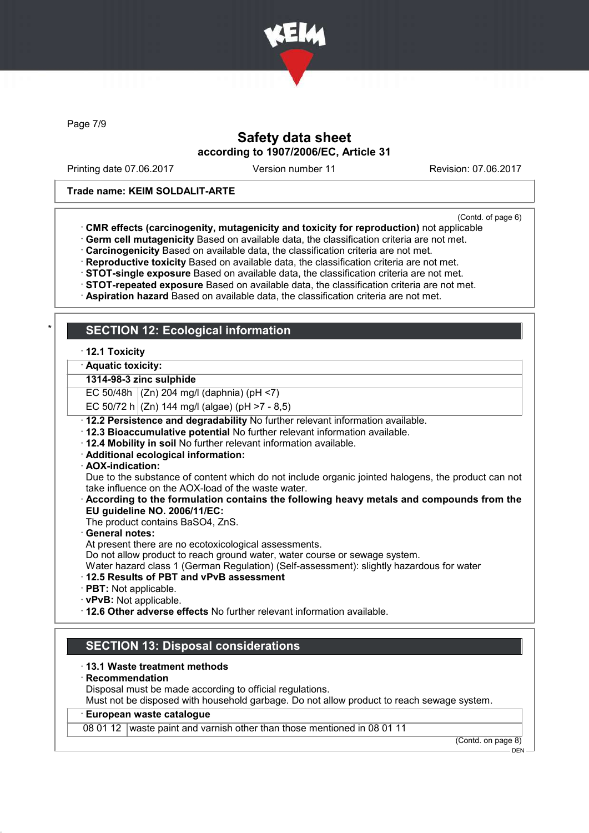

Page 7/9

## Safety data sheet according to 1907/2006/EC, Article 31

Printing date 07.06.2017 Version number 11 Revision: 07.06.2017

#### Trade name: KEIM SOLDALIT-ARTE

(Contd. of page 6)

- · CMR effects (carcinogenity, mutagenicity and toxicity for reproduction) not applicable
- · Germ cell mutagenicity Based on available data, the classification criteria are not met.
- · Carcinogenicity Based on available data, the classification criteria are not met.
- · Reproductive toxicity Based on available data, the classification criteria are not met.
- · STOT-single exposure Based on available data, the classification criteria are not met.
- · STOT-repeated exposure Based on available data, the classification criteria are not met.
- · Aspiration hazard Based on available data, the classification criteria are not met.

## **SECTION 12: Ecological information**

· 12.1 Toxicity

· Aquatic toxicity:

#### 1314-98-3 zinc sulphide

EC 50/48h (Zn) 204 mg/l (daphnia) (pH <7)

EC 50/72 h  $(Zn)$  144 mg/l (algae) (pH >7 - 8,5)

- · 12.2 Persistence and degradability No further relevant information available.
- · 12.3 Bioaccumulative potential No further relevant information available.
- · 12.4 Mobility in soil No further relevant information available.
- · Additional ecological information:
- · AOX-indication:

Due to the substance of content which do not include organic jointed halogens, the product can not take influence on the AOX-load of the waste water.

· According to the formulation contains the following heavy metals and compounds from the EU guideline NO. 2006/11/EC:

The product contains BaSO4, ZnS.

- General notes:
- At present there are no ecotoxicological assessments.

Do not allow product to reach ground water, water course or sewage system.

Water hazard class 1 (German Regulation) (Self-assessment): slightly hazardous for water

- · 12.5 Results of PBT and vPvB assessment
- · PBT: Not applicable.
- · vPvB: Not applicable.
- · 12.6 Other adverse effects No further relevant information available.

## SECTION 13: Disposal considerations

#### · 13.1 Waste treatment methods

- · Recommendation
- Disposal must be made according to official regulations.

Must not be disposed with household garbage. Do not allow product to reach sewage system.

### European waste catalogue

08 01 12 waste paint and varnish other than those mentioned in 08 01 11

(Contd. on page 8)

 $-$  DEN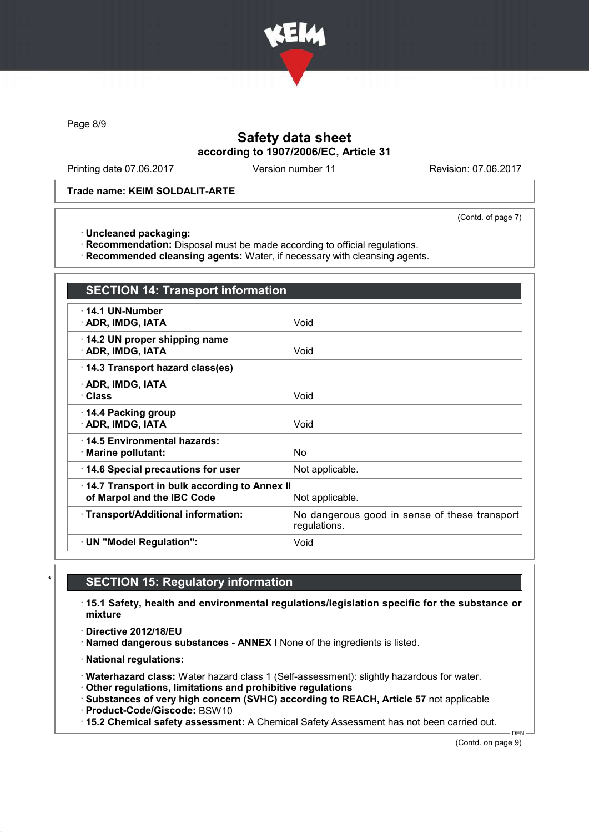

Page 8/9

## Safety data sheet according to 1907/2006/EC, Article 31

Printing date 07.06.2017 Version number 11 Revision: 07.06.2017

Trade name: KEIM SOLDALIT-ARTE

(Contd. of page 7)

· Uncleaned packaging:

· Recommendation: Disposal must be made according to official regulations.

· Recommended cleansing agents: Water, if necessary with cleansing agents.

| <b>SECTION 14: Transport information</b>                                   |                                                               |
|----------------------------------------------------------------------------|---------------------------------------------------------------|
| $\cdot$ 14.1 UN-Number<br>· ADR, IMDG, IATA                                | Void                                                          |
| 14.2 UN proper shipping name<br>· ADR, IMDG, IATA                          | Void                                                          |
| 14.3 Transport hazard class(es)                                            |                                                               |
| · ADR, IMDG, IATA<br><b>· Class</b>                                        | Void                                                          |
| 14.4 Packing group<br>· ADR, IMDG, IATA                                    | Void                                                          |
| ⋅14.5 Environmental hazards:<br>· Marine pollutant:                        | No                                                            |
| 14.6 Special precautions for user                                          | Not applicable.                                               |
| 14.7 Transport in bulk according to Annex II<br>of Marpol and the IBC Code | Not applicable.                                               |
| · Transport/Additional information:                                        | No dangerous good in sense of these transport<br>regulations. |
| · UN "Model Regulation":                                                   | Void                                                          |

## **SECTION 15: Regulatory information**

· 15.1 Safety, health and environmental regulations/legislation specific for the substance or mixture

· Directive 2012/18/EU

· Named dangerous substances - ANNEX I None of the ingredients is listed.

· National regulations:

· Waterhazard class: Water hazard class 1 (Self-assessment): slightly hazardous for water.

· Other regulations, limitations and prohibitive regulations

· Substances of very high concern (SVHC) according to REACH, Article 57 not applicable

· Product-Code/Giscode: BSW10

· 15.2 Chemical safety assessment: A Chemical Safety Assessment has not been carried out.

(Contd. on page 9)

DEN